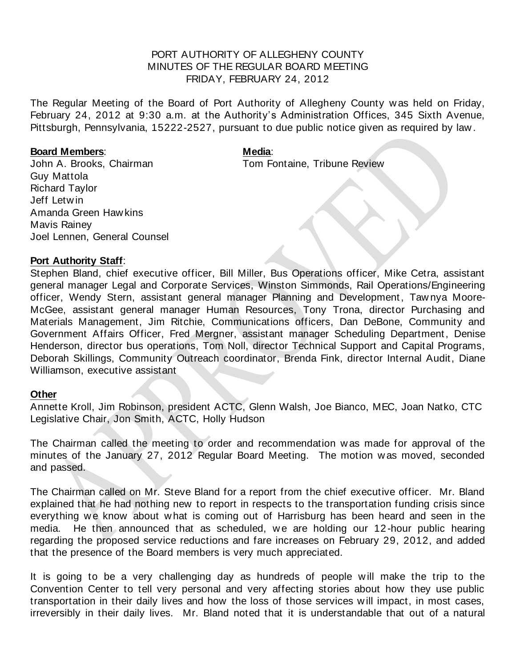## PORT AUTHORITY OF ALLEGHENY COUNTY MINUTES OF THE REGULAR BOARD MEETING FRIDAY, FEBRUARY 24, 2012

The Regular Meeting of the Board of Port Authority of Allegheny County w as held on Friday, February 24, 2012 at 9:30 a.m. at the Authority's Administration Offices, 345 Sixth Avenue, Pittsburgh, Pennsylvania, 15222-2527, pursuant to due public notice given as required by law .

## **Board Members: Media: Media**:

John A. Brooks, Chairman Tom Fontaine, Tribune Review

Guy Mattola Richard Taylor Jeff Letw in Amanda Green Haw kins Mavis Rainey Joel Lennen, General Counsel

## **Port Authority Staff**:

Stephen Bland, chief executive officer, Bill Miller, Bus Operations officer, Mike Cetra, assistant general manager Legal and Corporate Services, Winston Simmonds, Rail Operations/Engineering officer, Wendy Stern, assistant general manager Planning and Development, Taw nya Moore-McGee, assistant general manager Human Resources, Tony Trona, director Purchasing and Materials Management, Jim Ritchie, Communications officers, Dan DeBone, Community and Government Affairs Officer, Fred Mergner, assistant manager Scheduling Department, Denise Henderson, director bus operations, Tom Noll, director Technical Support and Capital Programs, Deborah Skillings, Community Outreach coordinator, Brenda Fink, director Internal Audit, Diane Williamson, executive assistant

## **Other**

Annette Kroll, Jim Robinson, president ACTC, Glenn Walsh, Joe Bianco, MEC, Joan Natko, CTC Legislative Chair, Jon Smith, ACTC, Holly Hudson

The Chairman called the meeting to order and recommendation w as made for approval of the minutes of the January 27, 2012 Regular Board Meeting. The motion w as moved, seconded and passed.

The Chairman called on Mr. Steve Bland for a report from the chief executive officer. Mr. Bland explained that he had nothing new to report in respects to the transportation funding crisis since everything we know about what is coming out of Harrisburg has been heard and seen in the media. He then announced that as scheduled, we are holding our 12-hour public hearing regarding the proposed service reductions and fare increases on February 29, 2012, and added that the presence of the Board members is very much appreciated.

It is going to be a very challenging day as hundreds of people w ill make the trip to the Convention Center to tell very personal and very affecting stories about how they use public transportation in their daily lives and how the loss of those services w ill impact, in most cases, irreversibly in their daily lives. Mr. Bland noted that it is understandable that out of a natural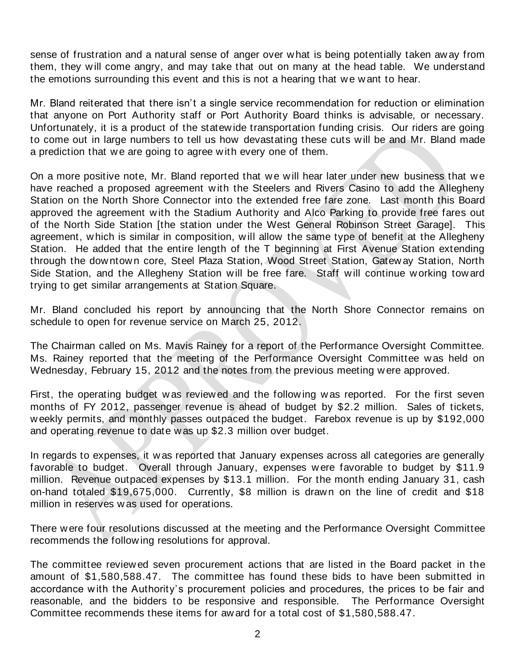sense of frustration and a natural sense of anger over w hat is being potentially taken aw ay from them, they w ill come angry, and may take that out on many at the head table. We understand the emotions surrounding this event and this is not a hearing that we want to hear.

Mr. Bland reiterated that there isn't a single service recommendation for reduction or elimination that anyone on Port Authority staff or Port Authority Board thinks is advisable, or necessary. Unfortunately, it is a product of the statew ide transportation funding crisis. Our riders are going to come out in large numbers to tell us how devastating these cuts w ill be and Mr. Bland made a prediction that we are going to agree with every one of them.

On a more positive note, Mr. Bland reported that w e w ill hear later under new business that w e have reached a proposed agreement w ith the Steelers and Rivers Casino to add the Allegheny Station on the North Shore Connector into the extended free fare zone. Last month this Board approved the agreement w ith the Stadium Authority and Alco Parking to provide free fares out of the North Side Station [the station under the West General Robinson Street Garage]. This agreement, w hich is similar in composition, w ill allow the same type of benefit at the Allegheny Station. He added that the entire length of the T beginning at First Avenue Station extending through the dow ntow n core, Steel Plaza Station, Wood Street Station, Gatew ay Station, North Side Station, and the Allegheny Station will be free fare. Staff w ill continue w orking tow ard trying to get similar arrangements at Station Square.

Mr. Bland concluded his report by announcing that the North Shore Connector remains on schedule to open for revenue service on March 25, 2012.

The Chairman called on Ms. Mavis Rainey for a report of the Performance Oversight Committee. Ms. Rainey reported that the meeting of the Performance Oversight Committee w as held on Wednesday, February 15, 2012 and the notes from the previous meeting w ere approved.

First, the operating budget w as review ed and the follow ing w as reported. For the first seven months of FY 2012, passenger revenue is ahead of budget by \$2.2 million. Sales of tickets, w eekly permits, and monthly passes outpaced the budget. Farebox revenue is up by \$192,000 and operating revenue to date w as up \$2.3 million over budget.

In regards to expenses, it w as reported that January expenses across all categories are generally favorable to budget. Overall through January, expenses w ere favorable to budget by \$11.9 million. Revenue outpaced expenses by \$13.1 million. For the month ending January 31, cash on-hand totaled \$19,675,000. Currently, \$8 million is drawn on the line of credit and \$18 million in reserves w as used for operations.

There w ere four resolutions discussed at the meeting and the Performance Oversight Committee recommends the follow ing resolutions for approval.

The committee review ed seven procurement actions that are listed in the Board packet in the amount of \$1,580,588.47. The committee has found these bids to have been submitted in accordance with the Authority's procurement policies and procedures, the prices to be fair and reasonable, and the bidders to be responsive and responsible. The Performance Oversight Committee recommends these items for aw ard for a total cost of \$1,580,588.47.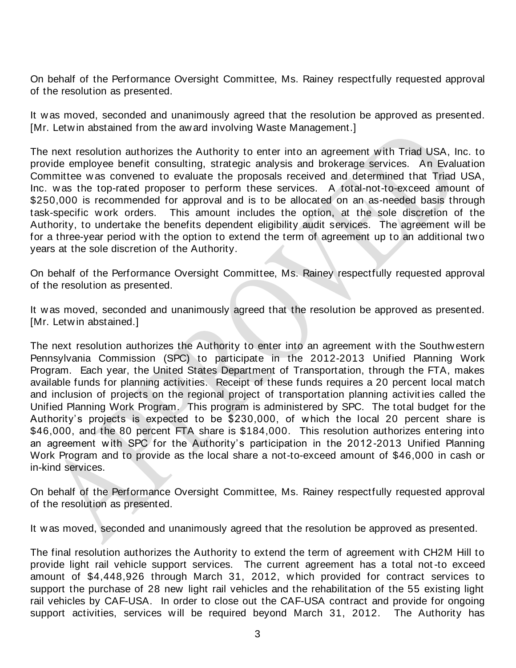On behalf of the Performance Oversight Committee, Ms. Rainey respectfully requested approval of the resolution as presented.

It w as moved, seconded and unanimously agreed that the resolution be approved as presented. [Mr. Letw in abstained from the aw ard involving Waste Management.]

The next resolution authorizes the Authority to enter into an agreement w ith Triad USA, Inc. to provide employee benefit consulting, strategic analysis and brokerage services. An Evaluation Committee w as convened to evaluate the proposals received and determined that Triad USA, Inc. w as the top-rated proposer to perform these services. A total-not-to-exceed amount of \$250,000 is recommended for approval and is to be allocated on an as-needed basis through task-specific w ork orders. This amount includes the option, at the sole discretion of the Authority, to undertake the benefits dependent eligibility audit services. The agreement w ill be for a three-year period with the option to extend the term of agreement up to an additional two years at the sole discretion of the Authority.

On behalf of the Performance Oversight Committee, Ms. Rainey respectfully requested approval of the resolution as presented.

It w as moved, seconded and unanimously agreed that the resolution be approved as presented. [Mr. Letw in abstained.]

The next resolution authorizes the Authority to enter into an agreement w ith the Southw estern Pennsylvania Commission (SPC) to participate in the 2012-2013 Unified Planning Work Program. Each year, the United States Department of Transportation, through the FTA, makes available funds for planning activities. Receipt of these funds requires a 20 percent local match and inclusion of projects on the regional project of transportation planning activit ies called the Unified Planning Work Program. This program is administered by SPC. The total budget for the Authority's projects is expected to be \$230,000, of w hich the local 20 percent share is \$46,000, and the 80 percent FTA share is \$184,000. This resolution authorizes entering into an agreement w ith SPC for the Authority's participation in the 2012-2013 Unified Planning Work Program and to provide as the local share a not-to-exceed amount of \$46,000 in cash or in-kind services.

On behalf of the Performance Oversight Committee, Ms. Rainey respectfully requested approval of the resolution as presented.

It w as moved, seconded and unanimously agreed that the resolution be approved as presented.

The final resolution authorizes the Authority to extend the term of agreement w ith CH2M Hill to provide light rail vehicle support services. The current agreement has a total not -to exceed amount of \$4,448,926 through March 31, 2012, w hich provided for contract services to support the purchase of 28 new light rail vehicles and the rehabilitation of the 55 existing light rail vehicles by CAF-USA. In order to close out the CAF-USA contract and provide for ongoing support activities, services will be required beyond March 31, 2012. The Authority has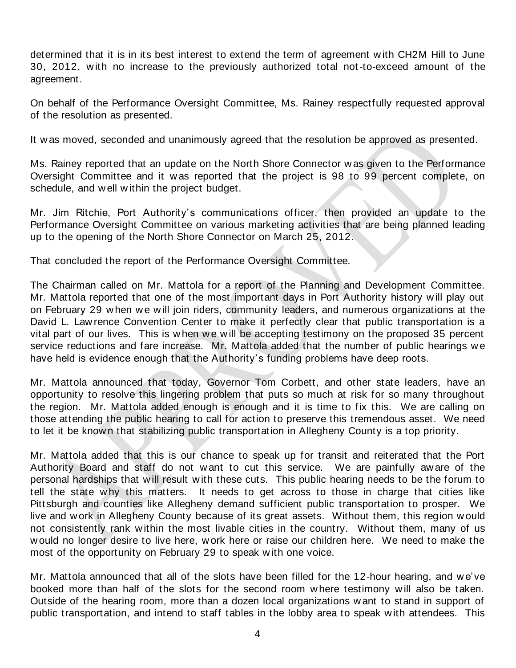determined that it is in its best interest to extend the term of agreement w ith CH2M Hill to June 30, 2012, w ith no increase to the previously authorized total not-to-exceed amount of the agreement.

On behalf of the Performance Oversight Committee, Ms. Rainey respectfully requested approval of the resolution as presented.

It w as moved, seconded and unanimously agreed that the resolution be approved as presented.

Ms. Rainey reported that an update on the North Shore Connector w as given to the Performance Oversight Committee and it w as reported that the project is 98 to 99 percent complete, on schedule, and w ell w ithin the project budget.

Mr. Jim Ritchie, Port Authority's communications officer, then provided an update to the Performance Oversight Committee on various marketing activities that are being planned leading up to the opening of the North Shore Connector on March 25, 2012.

That concluded the report of the Performance Oversight Committee.

The Chairman called on Mr. Mattola for a report of the Planning and Development Committee. Mr. Mattola reported that one of the most important days in Port Authority history w ill play out on February 29 when we will join riders, community leaders, and numerous organizations at the David L. Law rence Convention Center to make it perfectly clear that public transportation is a vital part of our lives. This is when we will be accepting testimony on the proposed 35 percent service reductions and fare increase. Mr. Mattola added that the number of public hearings w e have held is evidence enough that the Authority's funding problems have deep roots.

Mr. Mattola announced that today, Governor Tom Corbett, and other state leaders, have an opportunity to resolve this lingering problem that puts so much at risk for so many throughout the region. Mr. Mattola added enough is enough and it is time to fix this. We are calling on those attending the public hearing to call for action to preserve this tremendous asset. We need to let it be know n that stabilizing public transportation in Allegheny County is a top priority.

Mr. Mattola added that this is our chance to speak up for transit and reiterated that the Port Authority Board and staff do not w ant to cut this service. We are painfully aw are of the personal hardships that w ill result w ith these cuts. This public hearing needs to be the forum to tell the state w hy this matters. It needs to get across to those in charge that cities like Pittsburgh and counties like Allegheny demand sufficient public transportation to prosper. We live and w ork in Allegheny County because of its great assets. Without them, this region w ould not consistently rank w ithin the most livable cities in the country. Without them, many of us w ould no longer desire to live here, w ork here or raise our children here. We need to make the most of the opportunity on February 29 to speak w ith one voice.

Mr. Mattola announced that all of the slots have been filled for the 12-hour hearing, and w e've booked more than half of the slots for the second room w here testimony w ill also be taken. Outside of the hearing room, more than a dozen local organizations w ant to stand in support of public transportation, and intend to staff tables in the lobby area to speak w ith attendees. This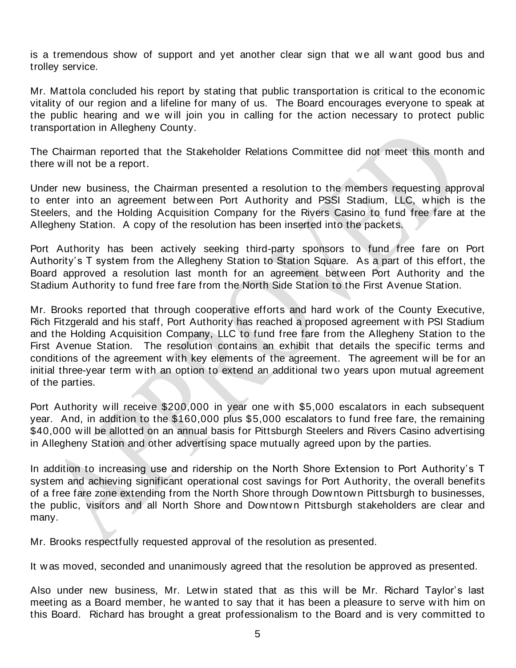is a tremendous show of support and yet another clear sign that we all w ant good bus and trolley service.

Mr. Mattola concluded his report by stating that public transportation is critical to the economic vitality of our region and a lifeline for many of us. The Board encourages everyone to speak at the public hearing and we will join you in calling for the action necessary to protect public transportation in Allegheny County.

The Chairman reported that the Stakeholder Relations Committee did not meet this month and there w ill not be a report.

Under new business, the Chairman presented a resolution to the members requesting approval to enter into an agreement betw een Port Authority and PSSI Stadium, LLC, w hich is the Steelers, and the Holding Acquisition Company for the Rivers Casino to fund free fare at the Allegheny Station. A copy of the resolution has been inserted into the packets.

Port Authority has been actively seeking third-party sponsors to fund free fare on Port Authority's T system from the Allegheny Station to Station Square. As a part of this effort, the Board approved a resolution last month for an agreement betw een Port Authority and the Stadium Authority to fund free fare from the North Side Station to the First Avenue Station.

Mr. Brooks reported that through cooperative efforts and hard w ork of the County Executive, Rich Fitzgerald and his staff, Port Authority has reached a proposed agreement w ith PSI Stadium and the Holding Acquisition Company, LLC to fund free fare from the Allegheny Station to the First Avenue Station. The resolution contains an exhibit that details the specific terms and conditions of the agreement w ith key elements of the agreement. The agreement w ill be for an initial three-year term with an option to extend an additional two years upon mutual agreement of the parties.

Port Authority will receive \$200,000 in year one with \$5,000 escalators in each subsequent year. And, in addition to the \$160,000 plus \$5,000 escalators to fund free fare, the remaining \$40,000 will be allotted on an annual basis for Pittsburgh Steelers and Rivers Casino advertising in Allegheny Station and other advertising space mutually agreed upon by the parties.

In addition to increasing use and ridership on the North Shore Extension to Port Authority's T system and achieving significant operational cost savings for Port Authority, the overall benefits of a free fare zone extending from the North Shore through Dow ntow n Pittsburgh to businesses, the public, visitors and all North Shore and Downtown Pittsburgh stakeholders are clear and many.

Mr. Brooks respectfully requested approval of the resolution as presented.

It w as moved, seconded and unanimously agreed that the resolution be approved as presented.

Also under new business, Mr. Letw in stated that as this w ill be Mr. Richard Taylor's last meeting as a Board member, he w anted to say that it has been a pleasure to serve w ith him on this Board. Richard has brought a great professionalism to the Board and is very committed to